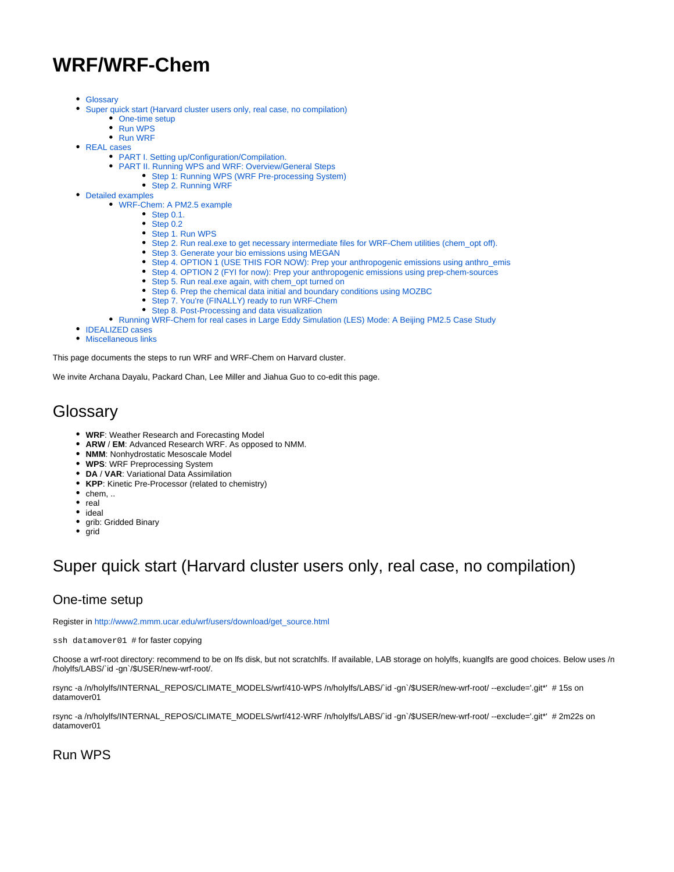# **WRF/WRF-Chem**

- [Glossary](#page-0-0)
- $\bullet$ [Super quick start \(Harvard cluster users only, real case, no compilation\)](#page-0-1)
	- [One-time setup](#page-0-2)
	- [Run WPS](#page-0-3)
	- [Run WRF](#page-1-0)
- [REAL cases](#page-1-1)
	- [PART I. Setting up/Configuration/Compilation.](#page-1-2)
	- [PART II. Running WPS and WRF: Overview/General Steps](#page-3-0)
		- [Step 1: Running WPS \(WRF Pre-processing System\)](#page-4-0)
		- [Step 2. Running WRF](#page-5-0)
- [Detailed examples](#page-6-0)
	- [WRF-Chem: A PM2.5 example](#page-6-1)
		- [Step 0.1.](#page-7-0)
		- [Step 0.2](#page-7-1)
		- [Step 1. Run WPS](#page-7-2)
		- [Step 2. Run real.exe to get necessary intermediate files for WRF-Chem utilities \(chem\\_opt off\).](#page-9-0)
		- [Step 3. Generate your bio emissions using MEGAN](#page-10-0)
		- [Step 4. OPTION 1 \(USE THIS FOR NOW\): Prep your anthropogenic emissions using anthro\\_emis](#page-10-1)
		- [Step 4. OPTION 2 \(FYI for now\): Prep your anthropogenic emissions using prep-chem-sources](#page-11-0)
		- [Step 5. Run real.exe again, with chem\\_opt turned on](#page-11-1)
		- [Step 6. Prep the chemical data initial and boundary conditions using MOZBC](#page-11-2)
			- [Step 7. You're \(FINALLY\) ready to run WRF-Chem](#page-12-0)
			- [Step 8. Post-Processing and data visualization](#page-13-0)
		- [Running WRF-Chem for real cases in Large Eddy Simulation \(LES\) Mode: A Beijing PM2.5 Case Study](#page-13-1)
- **IDEALIZED** cases
- [Miscellaneous links](#page-13-3)

This page documents the steps to run WRF and WRF-Chem on Harvard cluster.

We invite Archana Dayalu, Packard Chan, Lee Miller and Jiahua Guo to co-edit this page.

## <span id="page-0-0"></span>**Glossary**

- **WRF**: Weather Research and Forecasting Model
- **ARW** / **EM**: Advanced Research WRF. As opposed to NMM.
- **NMM**: Nonhydrostatic Mesoscale Model
- **WPS**: WRF Preprocessing System
- **DA** / **VAR**: Variational Data Assimilation
- **KPP**: Kinetic Pre-Processor (related to chemistry)
- $\bullet$  chem, ..
- $rac{1}{\pi}$ real
- ideal
- grib: Gridded Binary
- $\bullet$  grid

# <span id="page-0-1"></span>Super quick start (Harvard cluster users only, real case, no compilation)

## <span id="page-0-2"></span>One-time setup

Register in [http://www2.mmm.ucar.edu/wrf/users/download/get\\_source.html](http://www2.mmm.ucar.edu/wrf/users/download/get_source.html)

ssh datamover01 # for faster copying

Choose a wrf-root directory: recommend to be on lfs disk, but not scratchlfs. If available, LAB storage on holylfs, kuanglfs are good choices. Below uses /n /holylfs/LABS/`id -gn`/\$USER/new-wrf-root/.

rsync -a /n/holylfs/INTERNAL\_REPOS/CLIMATE\_MODELS/wrf/410-WPS /n/holylfs/LABS/`id -gn`/\$USER/new-wrf-root/ --exclude='.git\*' # 15s on datamover01

rsync -a /n/holylfs/INTERNAL\_REPOS/CLIMATE\_MODELS/wrf/412-WRF /n/holylfs/LABS/`id -gn`/\$USER/new-wrf-root/ --exclude='.git\*' # 2m22s on datamover01

### <span id="page-0-3"></span>Run WPS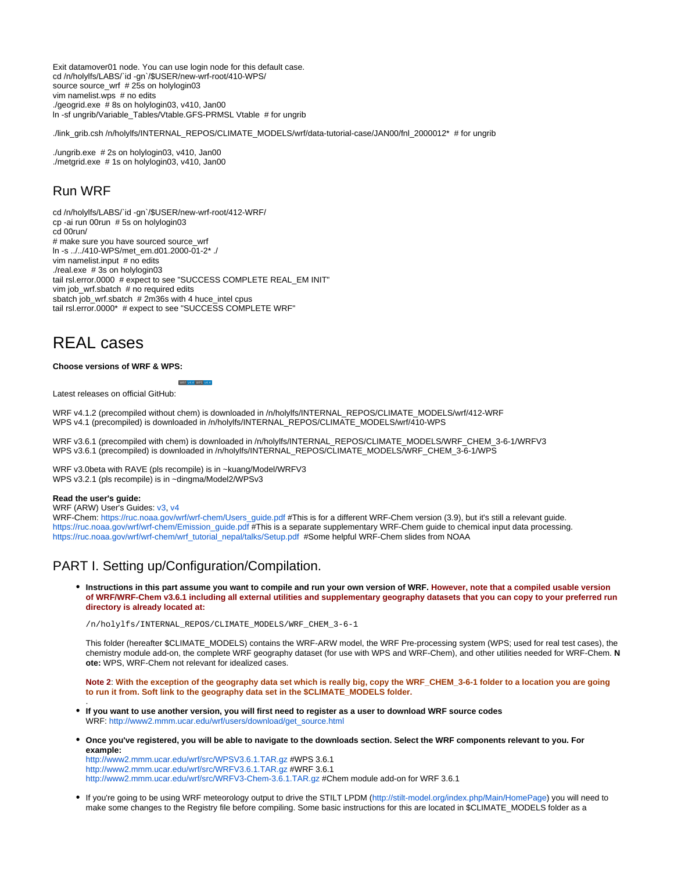Exit datamover01 node. You can use login node for this default case. cd /n/holylfs/LABS/`id -gn`/\$USER/new-wrf-root/410-WPS/ source source\_wrf # 25s on holylogin03 vim namelist.wps # no edits ./geogrid.exe # 8s on holylogin03, v410, Jan00 ln -sf ungrib/Variable\_Tables/Vtable.GFS-PRMSL Vtable # for ungrib

./link\_grib.csh /n/holylfs/INTERNAL\_REPOS/CLIMATE\_MODELS/wrf/data-tutorial-case/JAN00/fnl\_2000012\* # for ungrib

./ungrib.exe # 2s on holylogin03, v410, Jan00 ./metgrid.exe # 1s on holylogin03, v410, Jan00

## <span id="page-1-0"></span>Run WRF

cd /n/holylfs/LABS/`id -gn`/\$USER/new-wrf-root/412-WRF/ cp -ai run 00run # 5s on holylogin03 cd 00run/ # make sure you have sourced source\_wrf ln -s ../../410-WPS/met\_em.d01.2000-01-2\* ./ vim namelist.input # no edits ./real.exe # 3s on holylogin03 tail rsl.error.0000 # expect to see "SUCCESS COMPLETE REAL\_EM INIT" vim job\_wrf.sbatch # no required edits sbatch job\_wrf.sbatch  $# 2m36s$  with 4 huce\_intel cpus tail rsl.error.0000\* # expect to see "SUCCESS COMPLETE WRF"

WRE v4 4 WPS v4 4

## <span id="page-1-1"></span>REAL cases

#### **Choose versions of WRF & WPS:**

Latest releases on official GitHub:

WRF v4.1.2 (precompiled without chem) is downloaded in /n/holylfs/INTERNAL\_REPOS/CLIMATE\_MODELS/wrf/412-WRF WPS v4.1 (precompiled) is downloaded in /n/holylfs/INTERNAL\_REPOS/CLIMATE\_MODELS/wrf/410-WPS

WRF v3.6.1 (precompiled with chem) is downloaded in /n/holylfs/INTERNAL\_REPOS/CLIMATE\_MODELS/WRF\_CHEM\_3-6-1/WRFV3 WPS v3.6.1 (precompiled) is downloaded in /n/holylfs/INTERNAL\_REPOS/CLIMATE\_MODELS/WRF\_CHEM\_3-6-1/WPS

WRF v3.0beta with RAVE (pls recompile) is in ~kuang/Model/WRFV3 WPS v3.2.1 (pls recompile) is in ~dingma/Model2/WPSv3

#### **Read the user's guide:**

.

WRF (ARW) User's Guides: [v3,](http://www2.mmm.ucar.edu/wrf/users/docs/user_guide_V3/contents.html) [v4](http://www2.mmm.ucar.edu/wrf/users/docs/user_guide_v4/contents.html)

WRF-Chem: [https://ruc.noaa.gov/wrf/wrf-chem/Users\\_guide.pdf](https://ruc.noaa.gov/wrf/wrf-chem/Users_guide.pdf) #This is for a different WRF-Chem version (3.9), but it's still a relevant guide. [https://ruc.noaa.gov/wrf/wrf-chem/Emission\\_guide.pdf](https://ruc.noaa.gov/wrf/wrf-chem/Emission_guide.pdf) #This is a separate supplementary WRF-Chem guide to chemical input data processing. [https://ruc.noaa.gov/wrf/wrf-chem/wrf\\_tutorial\\_nepal/talks/Setup.pdf](https://ruc.noaa.gov/wrf/wrf-chem/wrf_tutorial_nepal/talks/Setup.pdf) #Some helpful WRF-Chem slides from NOAA

### <span id="page-1-2"></span>PART I. Setting up/Configuration/Compilation.

**Instructions in this part assume you want to compile and run your own version of WRF. However, note that a compiled usable version of WRF/WRF-Chem v3.6.1 including all external utilities and supplementary geography datasets that you can copy to your preferred run directory is already located at:**

/n/holylfs/INTERNAL\_REPOS/CLIMATE\_MODELS/WRF\_CHEM\_3-6-1

This folder (hereafter \$CLIMATE\_MODELS) contains the WRF-ARW model, the WRF Pre-processing system (WPS; used for real test cases), the chemistry module add-on, the complete WRF geography dataset (for use with WPS and WRF-Chem), and other utilities needed for WRF-Chem. **N ote:** WPS, WRF-Chem not relevant for idealized cases.

**Note 2**: **With the exception of the geography data set which is really big, copy the WRF\_CHEM\_3-6-1 folder to a location you are going to run it from. Soft link to the geography data set in the \$CLIMATE\_MODELS folder.**

- **If you want to use another version, you will first need to register as a user to download WRF source codes** WRF: [http://www2.mmm.ucar.edu/wrf/users/download/get\\_source.html](http://www2.mmm.ucar.edu/wrf/users/download/get_source.html)
- **Once you've registered, you will be able to navigate to the downloads section. Select the WRF components relevant to you. For example:**

<http://www2.mmm.ucar.edu/wrf/src/WPSV3.6.1.TAR.gz> #WPS 3.6.1 <http://www2.mmm.ucar.edu/wrf/src/WRFV3.6.1.TAR.gz> #WRF 3.6.1 <http://www2.mmm.ucar.edu/wrf/src/WRFV3-Chem-3.6.1.TAR.gz>#Chem module add-on for WRF 3.6.1

If you're going to be using WRF meteorology output to drive the STILT LPDM [\(http://stilt-model.org/index.php/Main/HomePage\)](http://stilt-model.org/index.php/Main/HomePage) you will need to make some changes to the Registry file before compiling. Some basic instructions for this are located in \$CLIMATE\_MODELS folder as a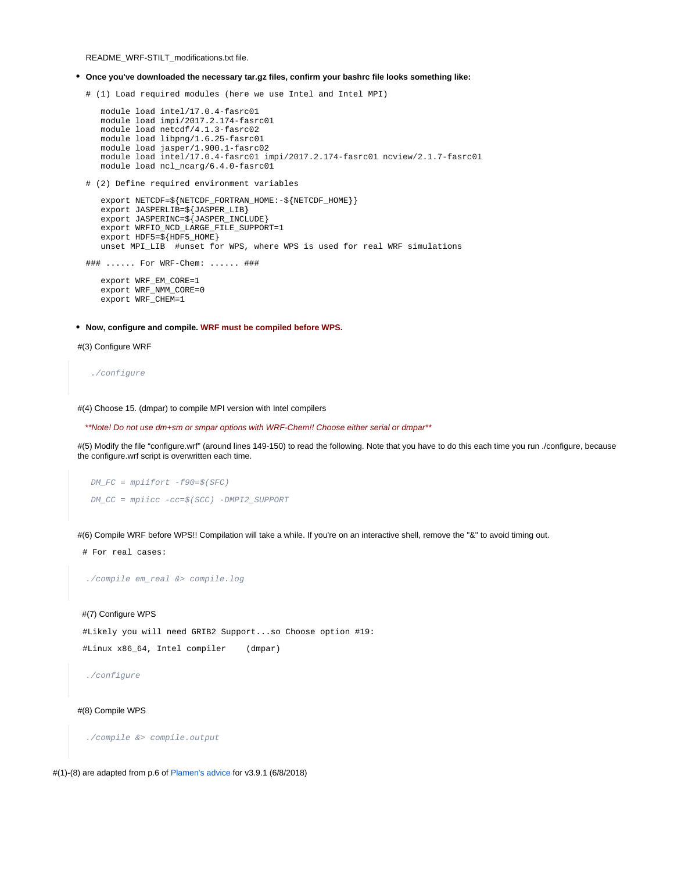README\_WRF-STILT\_modifications.txt file.

- **Once you've downloaded the necessary tar.gz files, confirm your bashrc file looks something like:**
	- # (1) Load required modules (here we use Intel and Intel MPI)

```
 module load intel/17.0.4-fasrc01
 module load impi/2017.2.174-fasrc01
 module load netcdf/4.1.3-fasrc02
 module load libpng/1.6.25-fasrc01
 module load jasper/1.900.1-fasrc02
 module load intel/17.0.4-fasrc01 impi/2017.2.174-fasrc01 ncview/2.1.7-fasrc01 
 module load ncl_ncarg/6.4.0-fasrc01
```
# (2) Define required environment variables

```
 export NETCDF=${NETCDF_FORTRAN_HOME:-${NETCDF_HOME}}
    export JASPERLIB=${JASPER_LIB}
   export JASPERINC=${JASPER_INCLUDE}
    export WRFIO_NCD_LARGE_FILE_SUPPORT=1
    export HDF5=${HDF5_HOME}
   unset MPI_LIB #unset for WPS, where WPS is used for real WRF simulations
### ...... For WRF-Chem: ...... ###
```
 export WRF\_EM\_CORE=1 export WRF\_NMM\_CORE=0 export WRF\_CHEM=1

**Now, configure and compile. WRF must be compiled before WPS.**

#### #(3) Configure WRF

#### ./configure

#(4) Choose 15. (dmpar) to compile MPI version with Intel compilers

#### \*\*Note! Do not use dm+sm or smpar options with WRF-Chem!! Choose either serial or dmpar\*\*

#(5) Modify the file "configure.wrf" (around lines 149-150) to read the following. Note that you have to do this each time you run ./configure, because the configure.wrf script is overwritten each time.

```
DM FC = mpifort -f90=\frac{1}{5}(SFC) DM_CC = mpiicc -cc=$(SCC) -DMPI2_SUPPORT
```
#(6) Compile WRF before WPS!! Compilation will take a while. If you're on an interactive shell, remove the "&" to avoid timing out.

# For real cases:

./compile em\_real &> compile.log

#### #(7) Configure WPS

 #Likely you will need GRIB2 Support...so Choose option #19: #Linux x86\_64, Intel compiler (dmpar)

./configure

#### #(8) Compile WPS

./compile &> compile.output

#(1)-(8) are adapted from p.6 of [Plamen's advice](https://wiki.harvard.edu/confluence/download/attachments/227883806/kuang_lab-7-8-2018.pdf?version=1&modificationDate=1528917027000&api=v2) for v3.9.1 (6/8/2018)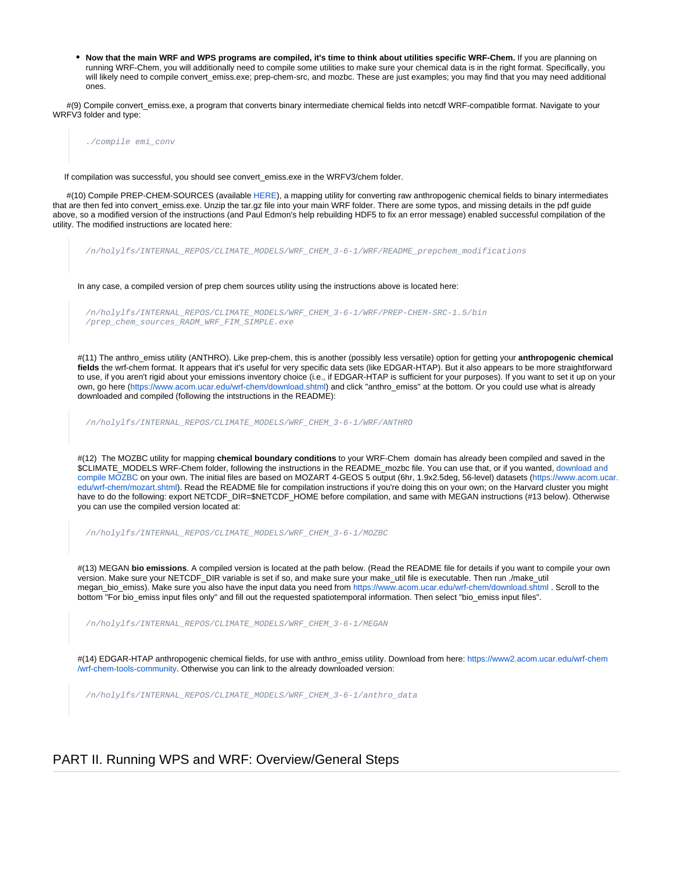**Now that the main WRF and WPS programs are compiled, it's time to think about utilities specific WRF-Chem.** If you are planning on running WRF-Chem, you will additionally need to compile some utilities to make sure your chemical data is in the right format. Specifically, you will likely need to compile convert\_emiss.exe; prep-chem-src, and mozbc. These are just examples; you may find that you may need additional ones.

 #(9) Compile convert\_emiss.exe, a program that converts binary intermediate chemical fields into netcdf WRF-compatible format. Navigate to your WRFV3 folder and type:

./compile emi\_conv

If compilation was successful, you should see convert\_emiss.exe in the WRFV3/chem folder.

 #(10) Compile PREP-CHEM-SOURCES (available [HERE](ftp://aftp.fsl.noaa.gov/divisions/taq/global_emissions/prep_chem_sources_v1.5_24aug2015.tar.gz)), a mapping utility for converting raw anthropogenic chemical fields to binary intermediates that are then fed into convert\_emiss.exe. Unzip the tar.gz file into your main WRF folder. There are some typos, and missing details in the pdf guide above, so a modified version of the instructions (and Paul Edmon's help rebuilding HDF5 to fix an error message) enabled successful compilation of the utility. The modified instructions are located here:

/n/holylfs/INTERNAL\_REPOS/CLIMATE\_MODELS/WRF\_CHEM\_3-6-1/WRF/README\_prepchem\_modifications In any case, a compiled version of prep chem sources utility using the instructions above is located here: /n/holylfs/INTERNAL\_REPOS/CLIMATE\_MODELS/WRF\_CHEM\_3-6-1/WRF/PREP-CHEM-SRC-1.5/bin /prep\_chem\_sources\_RADM\_WRF\_FIM\_SIMPLE.exe #(11) The anthro\_emiss utility (ANTHRO). Like prep-chem, this is another (possibly less versatile) option for getting your **anthropogenic chemical fields** the wrf-chem format. It appears that it's useful for very specific data sets (like EDGAR-HTAP). But it also appears to be more straightforward to use, if you aren't rigid about your emissions inventory choice (i.e., if EDGAR-HTAP is sufficient for your purposes). If you want to set it up on your own, go here [\(https://www.acom.ucar.edu/wrf-chem/download.shtml](https://www.acom.ucar.edu/wrf-chem/download.shtml)) and click "anthro\_emiss" at the bottom. Or you could use what is already downloaded and compiled (following the intstructions in the README): /n/holylfs/INTERNAL\_REPOS/CLIMATE\_MODELS/WRF\_CHEM\_3-6-1/WRF/ANTHRO #(12) The MOZBC utility for mapping **chemical boundary conditions** to your WRF-Chem domain has already been compiled and saved in the \$CLIMATE\_MODELS WRF-Chem folder, following the instructions in the README\_mozbc file. You can use that, or if you wanted, [download and](https://acom.ucar.edu/wrf-chem/download.shtml)  [compile MOZBC](https://acom.ucar.edu/wrf-chem/download.shtml) on your own. The initial files are based on MOZART 4-GEOS 5 output (6hr, 1.9x2.5deg, 56-level) datasets [\(https://www.acom.ucar.](https://www.acom.ucar.edu/wrf-chem/mozart.shtml) [edu/wrf-chem/mozart.shtml\)](https://www.acom.ucar.edu/wrf-chem/mozart.shtml). Read the README file for compilation instructions if you're doing this on your own; on the Harvard cluster you might have to do the following: export NETCDF\_DIR=\$NETCDF\_HOME before compilation, and same with MEGAN instructions (#13 below). Otherwise you can use the compiled version located at: /n/holylfs/INTERNAL\_REPOS/CLIMATE\_MODELS/WRF\_CHEM\_3-6-1/MOZBC #(13) MEGAN **bio emissions**. A compiled version is located at the path below. (Read the README file for details if you want to compile your own version. Make sure your NETCDF\_DIR variable is set if so, and make sure your make\_util file is executable. Then run ./make\_util megan\_bio\_emiss). Make sure you also have the input data you need from<https://www.acom.ucar.edu/wrf-chem/download.shtml>. Scroll to the bottom "For bio\_emiss input files only" and fill out the requested spatiotemporal information. Then select "bio\_emiss input files". /n/holylfs/INTERNAL\_REPOS/CLIMATE\_MODELS/WRF\_CHEM\_3-6-1/MEGAN #(14) EDGAR-HTAP anthropogenic chemical fields, for use with anthro\_emiss utility. Download from here: [https://www2.acom.ucar.edu/wrf-chem](https://www2.acom.ucar.edu/wrf-chem/wrf-chem-tools-community) [/wrf-chem-tools-community.](https://www2.acom.ucar.edu/wrf-chem/wrf-chem-tools-community) Otherwise you can link to the already downloaded version:

/n/holylfs/INTERNAL\_REPOS/CLIMATE\_MODELS/WRF\_CHEM\_3-6-1/anthro\_data

### <span id="page-3-0"></span>PART II. Running WPS and WRF: Overview/General Steps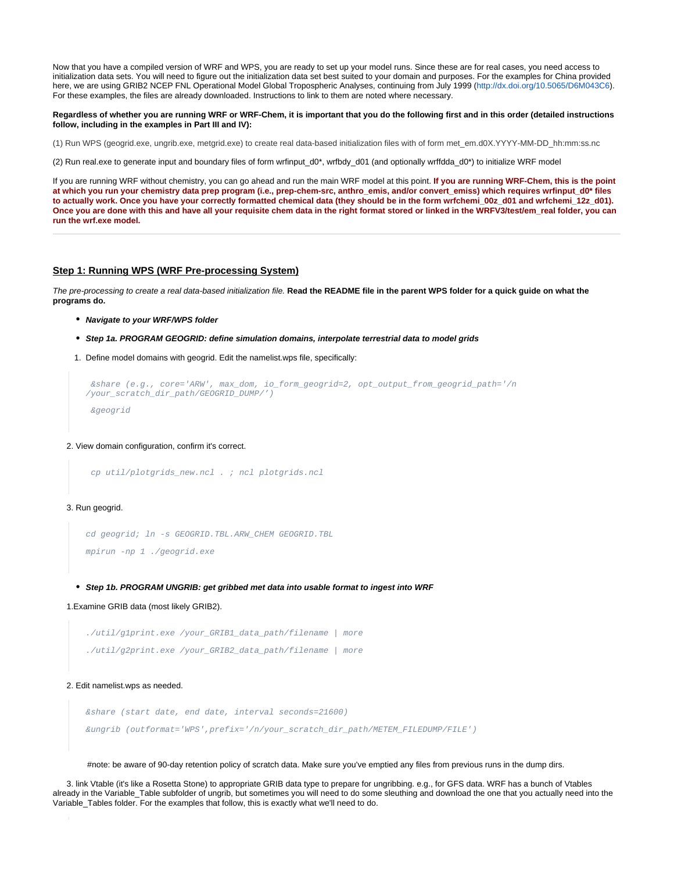Now that you have a compiled version of WRF and WPS, you are ready to set up your model runs. Since these are for real cases, you need access to initialization data sets. You will need to figure out the initialization data set best suited to your domain and purposes. For the examples for China provided here, we are using GRIB2 NCEP FNL Operational Model Global Tropospheric Analyses, continuing from July 1999 [\(http://dx.doi.org/10.5065/D6M043C6](http://dx.doi.org/10.5065/D6M043C6)). For these examples, the files are already downloaded. Instructions to link to them are noted where necessary.

#### **Regardless of whether you are running WRF or WRF-Chem, it is important that you do the following first and in this order (detailed instructions follow, including in the examples in Part III and IV):**

(1) Run WPS (geogrid.exe, ungrib.exe, metgrid.exe) to create real data-based initialization files with of form met\_em.d0X.YYYY-MM-DD\_hh:mm:ss.nc

(2) Run real.exe to generate input and boundary files of form wrfinput\_d0\*, wrfbdy\_d01 (and optionally wrffdda\_d0\*) to initialize WRF model

If you are running WRF without chemistry, you can go ahead and run the main WRF model at this point. **If you are running WRF-Chem, this is the point at which you run your chemistry data prep program (i.e., prep-chem-src, anthro\_emis, and/or convert\_emiss) which requires wrfinput\_d0\* files**  to actually work. Once you have your correctly formatted chemical data (they should be in the form wrfchemi\_00z\_d01 and wrfchemi\_12z\_d01). **Once you are done with this and have all your requisite chem data in the right format stored or linked in the WRFV3/test/em\_real folder, you can run the wrf.exe model.**

#### <span id="page-4-0"></span>**Step 1: Running WPS (WRF Pre-processing System)**

The pre-processing to create a real data-based initialization file. **Read the README file in the parent WPS folder for a quick guide on what the programs do.**

- **Navigate to your WRF/WPS folder**
- **Step 1a. PROGRAM GEOGRID: define simulation domains, interpolate terrestrial data to model grids**
- 1. Define model domains with geogrid. Edit the namelist.wps file, specifically:

```
 &share (e.g., core='ARW', max_dom, io_form_geogrid=2, opt_output_from_geogrid_path='/n
/your_scratch_dir_path/GEOGRID_DUMP/')
  &geogrid
```
#### 2. View domain configuration, confirm it's correct.

```
 cp util/plotgrids_new.ncl . ; ncl plotgrids.ncl
```
#### 3. Run geogrid.

```
cd geogrid; ln -s GEOGRID.TBL.ARW_CHEM GEOGRID.TBL 
mpirun -np 1 ./geogrid.exe
```
**Step 1b. PROGRAM UNGRIB: get gribbed met data into usable format to ingest into WRF**

1.Examine GRIB data (most likely GRIB2).

```
./util/g1print.exe /your_GRIB1_data_path/filename | more
./util/g2print.exe /your_GRIB2_data_path/filename | more
```
#### 2. Edit namelist.wps as needed.

```
&share (start date, end date, interval seconds=21600)
&ungrib (outformat='WPS',prefix='/n/your_scratch_dir_path/METEM_FILEDUMP/FILE')
```
#note: be aware of 90-day retention policy of scratch data. Make sure you've emptied any files from previous runs in the dump dirs.

 3. link Vtable (it's like a Rosetta Stone) to appropriate GRIB data type to prepare for ungribbing. e.g., for GFS data. WRF has a bunch of Vtables already in the Variable\_Table subfolder of ungrib, but sometimes you will need to do some sleuthing and download the one that you actually need into the Variable\_Tables folder. For the examples that follow, this is exactly what we'll need to do.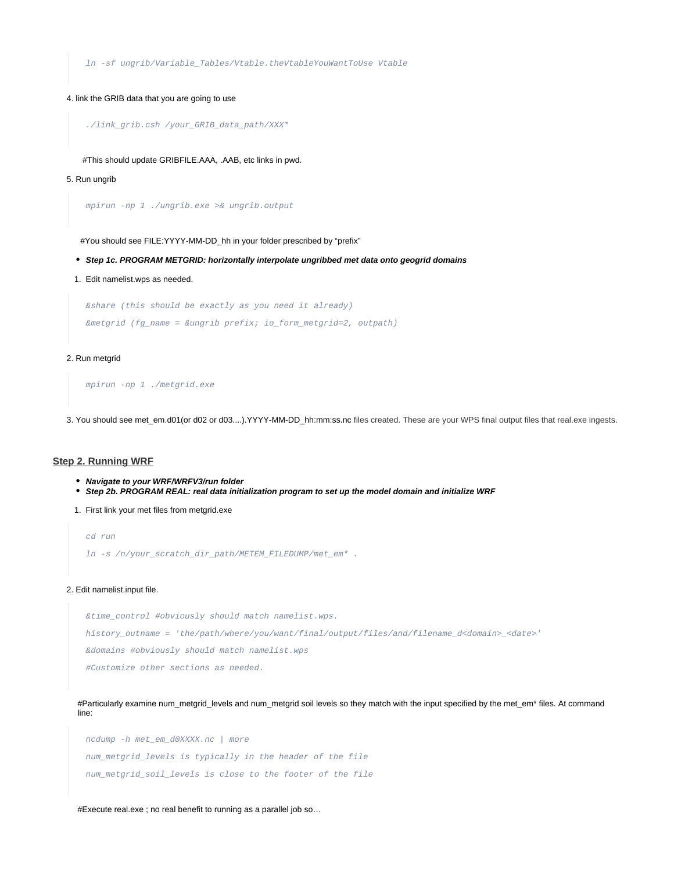ln -sf ungrib/Variable\_Tables/Vtable.theVtableYouWantToUse Vtable

#### 4. link the GRIB data that you are going to use

```
./link_grib.csh /your_GRIB_data_path/XXX*
```
#This should update GRIBFILE.AAA, .AAB, etc links in pwd.

#### 5. Run ungrib

mpirun -np 1 ./ungrib.exe >& ungrib.output

#You should see FILE:YYYY-MM-DD\_hh in your folder prescribed by "prefix"

- **Step 1c. PROGRAM METGRID: horizontally interpolate ungribbed met data onto geogrid domains**
- 1. Edit namelist.wps as needed.

&share (this should be exactly as you need it already) &metgrid (fg\_name = &ungrib prefix; io\_form\_metgrid=2, outpath)

#### 2. Run metgrid

```
mpirun -np 1 ./metgrid.exe
```
3. You should see met\_em.d01(or d02 or d03....).YYYY-MM-DD\_hh:mm:ss.nc files created. These are your WPS final output files that real.exe ingests.

#### <span id="page-5-0"></span>**Step 2. Running WRF**

- **Navigate to your WRF/WRFV3/run folder**
- **Step 2b. PROGRAM REAL: real data initialization program to set up the model domain and initialize WRF**
- 1. First link your met files from metgrid.exe

```
cd run
```
ln -s /n/your\_scratch\_dir\_path/METEM\_FILEDUMP/met\_em\* .

#### 2. Edit namelist.input file.

&time\_control #obviously should match namelist.wps. history\_outname = 'the/path/where/you/want/final/output/files/and/filename\_d<domain>\_<date>' &domains #obviously should match namelist.wps #Customize other sections as needed.

#Particularly examine num\_metgrid\_levels and num\_metgrid soil levels so they match with the input specified by the met\_em\* files. At command line:

ncdump -h met\_em\_d0XXXX.nc | more num\_metgrid\_levels is typically in the header of the file num\_metgrid\_soil\_levels is close to the footer of the file

#Execute real.exe ; no real benefit to running as a parallel job so…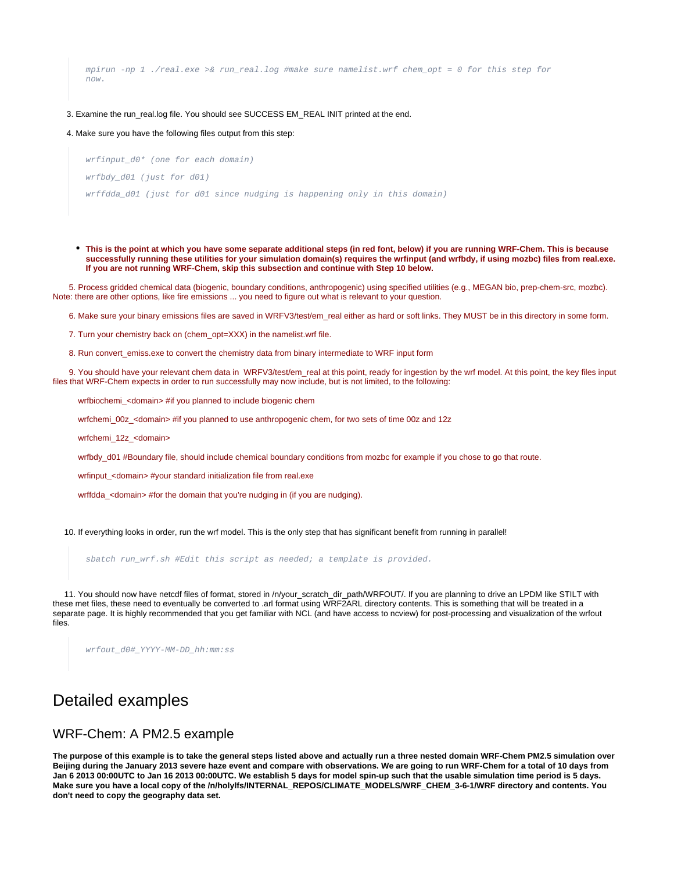mpirun -np 1 ./real.exe >& run\_real.log #make sure namelist.wrf chem\_opt = 0 for this step for now.

#### 3. Examine the run\_real.log file. You should see SUCCESS EM\_REAL INIT printed at the end.

4. Make sure you have the following files output from this step:

wrfinput\_d0\* (one for each domain) wrfbdy\_d01 (just for d01) wrffdda\_d01 (just for d01 since nudging is happening only in this domain)

**This is the point at which you have some separate additional steps (in red font, below) if you are running WRF-Chem. This is because successfully running these utilities for your simulation domain(s) requires the wrfinput (and wrfbdy, if using mozbc) files from real.exe. If you are not running WRF-Chem, skip this subsection and continue with Step 10 below.**

 5. Process gridded chemical data (biogenic, boundary conditions, anthropogenic) using specified utilities (e.g., MEGAN bio, prep-chem-src, mozbc). Note: there are other options, like fire emissions ... you need to figure out what is relevant to your question.

6. Make sure your binary emissions files are saved in WRFV3/test/em\_real either as hard or soft links. They MUST be in this directory in some form.

7. Turn your chemistry back on (chem\_opt=XXX) in the namelist.wrf file.

8. Run convert emiss.exe to convert the chemistry data from binary intermediate to WRF input form

9. You should have your relevant chem data in WRFV3/test/em real at this point, ready for ingestion by the wrf model. At this point, the key files input files that WRF-Chem expects in order to run successfully may now include, but is not limited, to the following:

wrfbiochemi\_<domain> #if you planned to include biogenic chem

wrfchemi 00z <domain> #if you planned to use anthropogenic chem, for two sets of time 00z and 12z

wrfchemi 12z <domain>

wrfbdy\_d01 #Boundary file, should include chemical boundary conditions from mozbc for example if you chose to go that route.

wrfinput\_<domain> #your standard initialization file from real.exe

wrffdda <domain> #for the domain that you're nudging in (if you are nudging).

10. If everything looks in order, run the wrf model. This is the only step that has significant benefit from running in parallel!

sbatch run\_wrf.sh #Edit this script as needed; a template is provided.

 11. You should now have netcdf files of format, stored in /n/your\_scratch\_dir\_path/WRFOUT/. If you are planning to drive an LPDM like STILT with these met files, these need to eventually be converted to .arl format using WRF2ARL directory contents. This is something that will be treated in a separate page. It is highly recommended that you get familiar with NCL (and have access to ncview) for post-processing and visualization of the wrfout files.

wrfout\_d0#\_YYYY-MM-DD\_hh:mm:ss

## <span id="page-6-0"></span>Detailed examples

### <span id="page-6-1"></span>WRF-Chem: A PM2.5 example

**The purpose of this example is to take the general steps listed above and actually run a three nested domain WRF-Chem PM2.5 simulation over Beijing during the January 2013 severe haze event and compare with observations. We are going to run WRF-Chem for a total of 10 days from Jan 6 2013 00:00UTC to Jan 16 2013 00:00UTC. We establish 5 days for model spin-up such that the usable simulation time period is 5 days. Make sure you have a local copy of the /n/holylfs/INTERNAL\_REPOS/CLIMATE\_MODELS/WRF\_CHEM\_3-6-1/WRF directory and contents. You don't need to copy the geography data set.**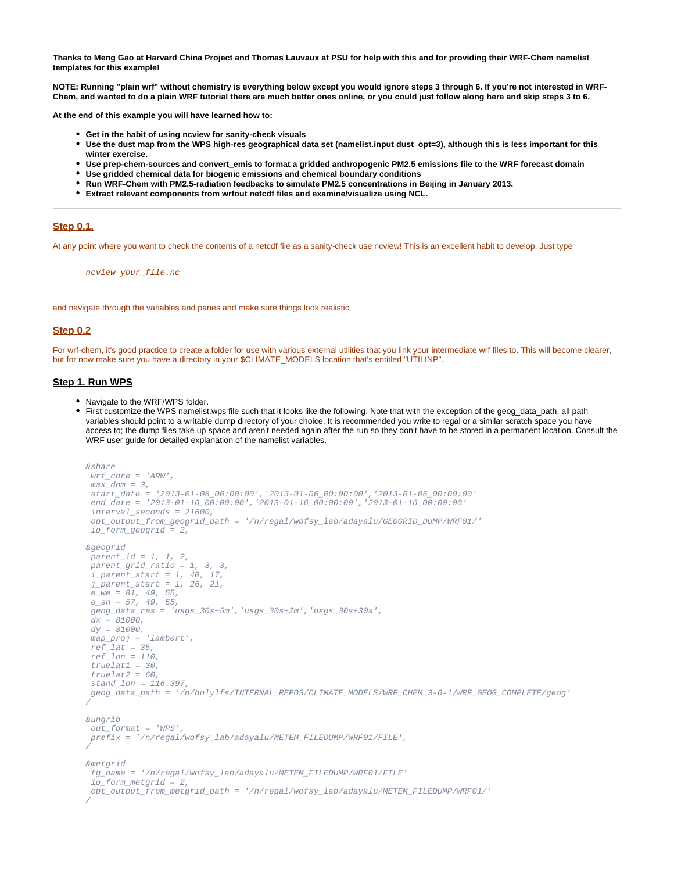**Thanks to Meng Gao at Harvard China Project and Thomas Lauvaux at PSU for help with this and for providing their WRF-Chem namelist templates for this example!**

**NOTE: Running "plain wrf" without chemistry is everything below except you would ignore steps 3 through 6. If you're not interested in WRF-Chem, and wanted to do a plain WRF tutorial there are much better ones online, or you could just follow along here and skip steps 3 to 6.**

**At the end of this example you will have learned how to:**

- **Get in the habit of using ncview for sanity-check visuals**
- **Use the dust map from the WPS high-res geographical data set (namelist.input dust\_opt=3), although this is less important for this winter exercise.**
- **Use prep-chem-sources and convert\_emis to format a gridded anthropogenic PM2.5 emissions file to the WRF forecast domain**
- **Use gridded chemical data for biogenic emissions and chemical boundary conditions**
- **Run WRF-Chem with PM2.5-radiation feedbacks to simulate PM2.5 concentrations in Beijing in January 2013.**
- **Extract relevant components from wrfout netcdf files and examine/visualize using NCL.**

#### <span id="page-7-0"></span>**Step 0.1.**

At any point where you want to check the contents of a netcdf file as a sanity-check use ncview! This is an excellent habit to develop. Just type

ncview your\_file.nc

and navigate through the variables and panes and make sure things look realistic.

#### <span id="page-7-1"></span>**Step 0.2**

For wrf-chem, it's good practice to create a folder for use with various external utilities that you link your intermediate wrf files to. This will become clearer, but for now make sure you have a directory in your \$CLIMATE\_MODELS location that's entitled "UTILINP".

#### <span id="page-7-2"></span>**Step 1. Run WPS**

- Navigate to the WRF/WPS folder.
- First customize the WPS namelist.wps file such that it looks like the following. Note that with the exception of the geog\_data\_path, all path variables should point to a writable dump directory of your choice. It is recommended you write to regal or a similar scratch space you have access to; the dump files take up space and aren't needed again after the run so they don't have to be stored in a permanent location. Consult the WRF user guide for detailed explanation of the namelist variables.

```
&share
wrf\_core = 'ARW',
 max\ dom = 3,
 start date = '2013-01-06\ 00:000:00','2013-01-06 00:00:00','2013-01-06 00:00:00'
  end_date = '2013-01-16_00:00:00','2013-01-16_00:00:00','2013-01-16_00:00:00'
 interval seconds = 21600,
  opt_output_from_geogrid_path = '/n/regal/wofsy_lab/adayalu/GEOGRID_DUMP/WRF01/'
  io_form_geogrid = 2,
&geogrid
 parent_id = 1, 1, 2,
  parent_grid_ratio = 1, 3, 3,
  i_parent_start = 1, 40, 17,
 j_parent_start = 1, 26, 21,
 e_{we} = 81, 49, 55,e sn = 57, 49, 55,geog data_res = 'usgs_30s+5m','usgs_30s+2m','usgs_30s+30s',
 dx = 81000.
 dy = 81000,map\_proj = 'lambert',ref\_lat = 35,
 ref lon = 110,
 truelet1 = 30.
 truelat2 = 60,
stand lon = 116.397.
 geog_data_path = '/n/holylfs/INTERNAL_REPOS/CLIMATE_MODELS/WRF_CHEM_3-6-1/WRF_GEOG_COMPLETE/geog'
/
&ungrib
out format = 'WPS'
 prefix = '/n/regal/wofsy_lab/adayalu/METEM_FILEDUMP/WRF01/FILE',
/
&metgrid
 fg_name = '/n/regal/wofsy_lab/adayalu/METEM_FILEDUMP/WRF01/FILE'
 io_form_metgrid = 2,
opt_output_from_metgrid_path = '/n/reqal/wofsy_lab/adayalu/METEM_FILEDUMP/WRF01/'
/
```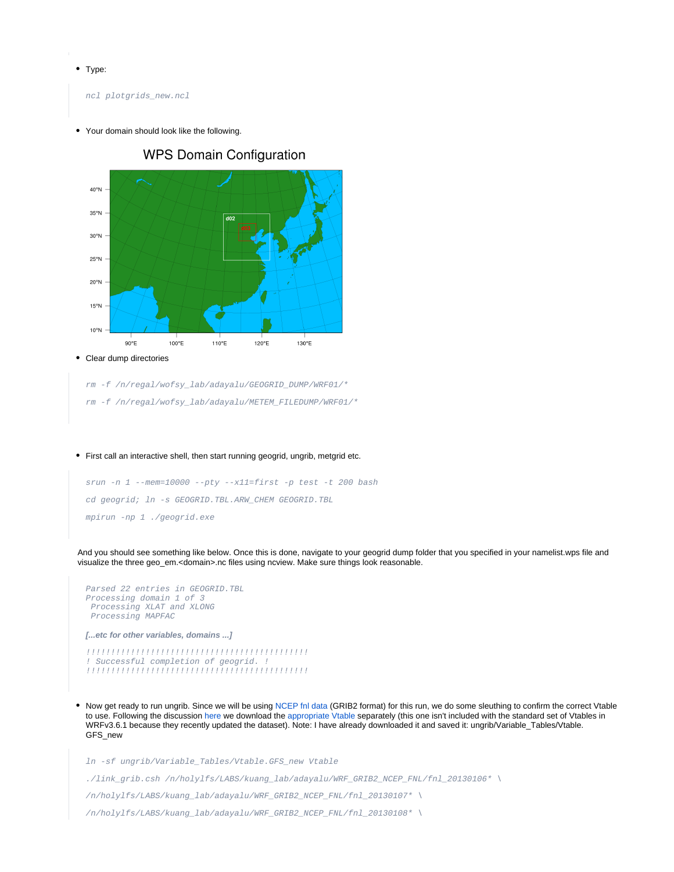• Type:

ncl plotgrids\_new.ncl

Your domain should look like the following.



**WPS Domain Configuration** 

Clear dump directories  $\bullet$ 

rm -f /n/regal/wofsy\_lab/adayalu/GEOGRID\_DUMP/WRF01/\*

- rm -f /n/regal/wofsy\_lab/adayalu/METEM\_FILEDUMP/WRF01/\*
- First call an interactive shell, then start running geogrid, ungrib, metgrid etc.

```
srun -n 1 --mem=10000 --pty --x11=first -p test -t 200 bash
cd geogrid; ln -s GEOGRID.TBL.ARW_CHEM GEOGRID.TBL
mpirun -np 1 ./geogrid.exe
```
And you should see something like below. Once this is done, navigate to your geogrid dump folder that you specified in your namelist.wps file and visualize the three geo\_em.<domain>.nc files using ncview. Make sure things look reasonable.

```
Parsed 22 entries in GEOGRID.TBL
Processing domain 1 of 3
  Processing XLAT and XLONG
  Processing MAPFAC
[...etc for other variables, domains ...]
!!!!!!!!!!!!!!!!!!!!!!!!!!!!!!!!!!!!!!!!!!!!!
! Successful completion of geogrid. !
!!!!!!!!!!!!!!!!!!!!!!!!!!!!!!!!!!!!!!!!!!!!!
```
Now get ready to run ungrib. Since we will be using [NCEP fnl data](https://rda.ucar.edu/datasets/ds083.2/) (GRIB2 format) for this run, we do some sleuthing to confirm the correct Vtable to use. Following the discussion [here](https://rda.ucar.edu/datasets/ds083.2/docs/WRF_NCEP2) we download the [appropriate Vtable](http://www2.mmm.ucar.edu/wrf/src/Vtable.GFS_new) separately (this one isn't included with the standard set of Vtables in WRFv3.6.1 because they recently updated the dataset). Note: I have already downloaded it and saved it: ungrib/Variable\_Tables/Vtable. GFS new

ln -sf ungrib/Variable\_Tables/Vtable.GFS\_new Vtable

./link\_grib.csh /n/holylfs/LABS/kuang\_lab/adayalu/WRF\_GRIB2\_NCEP\_FNL/fnl\_20130106\* \

/n/holylfs/LABS/kuang\_lab/adayalu/WRF\_GRIB2\_NCEP\_FNL/fnl\_20130107\* \

/n/holylfs/LABS/kuang\_lab/adayalu/WRF\_GRIB2\_NCEP\_FNL/fnl\_20130108\* \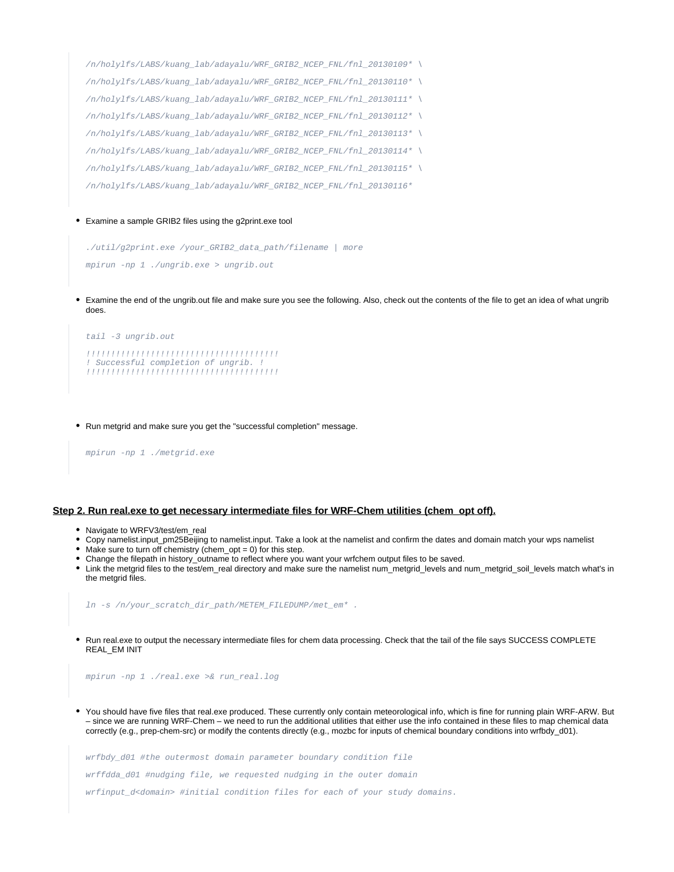```
/n/holylfs/LABS/kuang_lab/adayalu/WRF_GRIB2_NCEP_FNL/fnl_20130109* \
/n/holylfs/LABS/kuang_lab/adayalu/WRF_GRIB2_NCEP_FNL/fnl_20130110* \
/n/holylfs/LABS/kuang_lab/adayalu/WRF_GRIB2_NCEP_FNL/fnl_20130111* \
/n/holylfs/LABS/kuang_lab/adayalu/WRF_GRIB2_NCEP_FNL/fnl_20130112* \
/n/holylfs/LABS/kuang_lab/adayalu/WRF_GRIB2_NCEP_FNL/fnl_20130113* \
/n/holylfs/LABS/kuang_lab/adayalu/WRF_GRIB2_NCEP_FNL/fnl_20130114* \
/n/holylfs/LABS/kuang_lab/adayalu/WRF_GRIB2_NCEP_FNL/fnl_20130115* \
/n/holylfs/LABS/kuang_lab/adayalu/WRF_GRIB2_NCEP_FNL/fnl_20130116*
```
Examine a sample GRIB2 files using the g2print.exe tool

./util/g2print.exe /your\_GRIB2\_data\_path/filename | more mpirun -np 1 ./ungrib.exe > ungrib.out

Examine the end of the ungrib.out file and make sure you see the following. Also, check out the contents of the file to get an idea of what ungrib does.

```
tail -3 ungrib.out 
!!!!!!!!!!!!!!!!!!!!!!!!!!!!!!!!!!!!!!!
! Successful completion of ungrib. !
!!!!!!!!!!!!!!!!!!!!!!!!!!!!!!!!!!!!!!!
```
Run metgrid and make sure you get the "successful completion" message.

mpirun -np 1 ./metgrid.exe

#### <span id="page-9-0"></span>**Step 2. Run real.exe to get necessary intermediate files for WRF-Chem utilities (chem\_opt off).**

- Navigate to WRFV3/test/em\_real
- Copy namelist.input\_pm25Beijing to namelist.input. Take a look at the namelist and confirm the dates and domain match your wps namelist
- $\bullet$  Make sure to turn off chemistry (chem\_opt = 0) for this step.
- Change the filepath in history\_outname to reflect where you want your wrfchem output files to be saved.
- Link the metgrid files to the test/em\_real directory and make sure the namelist num\_metgrid\_levels and num\_metgrid\_soil\_levels match what's in the metgrid files.

ln -s /n/your\_scratch\_dir\_path/METEM\_FILEDUMP/met\_em\* .

Run real.exe to output the necessary intermediate files for chem data processing. Check that the tail of the file says SUCCESS COMPLETE REAL\_EM INIT

mpirun -np 1 ./real.exe >& run\_real.log

You should have five files that real.exe produced. These currently only contain meteorological info, which is fine for running plain WRF-ARW. But – since we are running WRF-Chem – we need to run the additional utilities that either use the info contained in these files to map chemical data correctly (e.g., prep-chem-src) or modify the contents directly (e.g., mozbc for inputs of chemical boundary conditions into wrfbdy\_d01).

wrfbdy\_d01 #the outermost domain parameter boundary condition file wrffdda\_d01 #nudging file, we requested nudging in the outer domain wrfinput\_d<domain> #initial condition files for each of your study domains.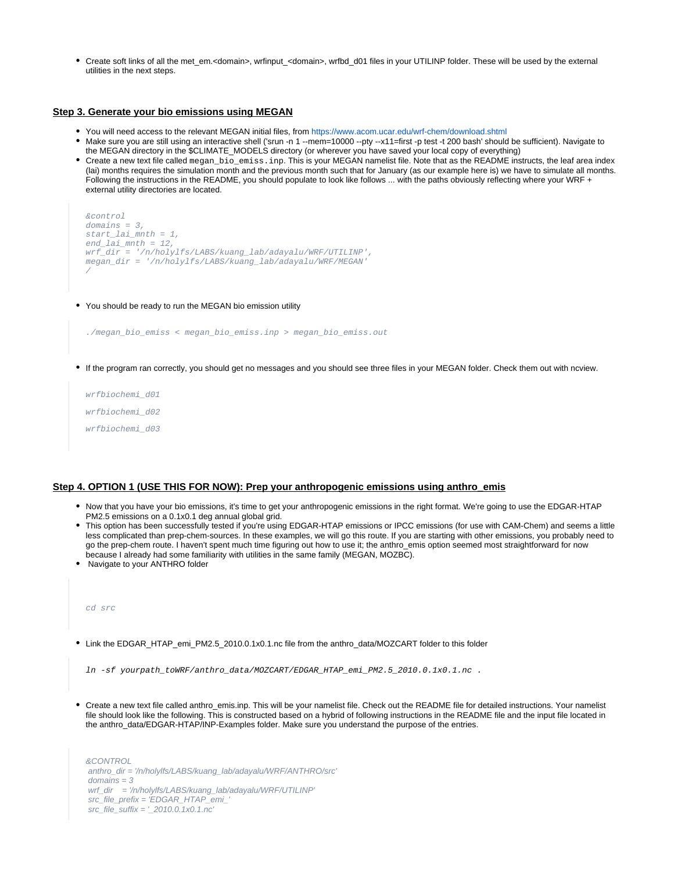• Create soft links of all the met\_em.<domain>, wrfinput\_<domain>, wrfbd\_d01 files in your UTILINP folder. These will be used by the external utilities in the next steps.

### <span id="page-10-0"></span>**Step 3. Generate your bio emissions using MEGAN**

- You will need access to the relevant MEGAN initial files, from<https://www.acom.ucar.edu/wrf-chem/download.shtml>
- Make sure you are still using an interactive shell ('srun -n 1 --mem=10000 --pty --x11=first -p test -t 200 bash' should be sufficient). Navigate to the MEGAN directory in the \$CLIMATE\_MODELS directory (or wherever you have saved your local copy of everything)
- Create a new text file called megan\_bio\_emiss.inp. This is your MEGAN namelist file. Note that as the README instructs, the leaf area index (lai) months requires the simulation month and the previous month such that for January (as our example here is) we have to simulate all months. Following the instructions in the README, you should populate to look like follows ... with the paths obviously reflecting where your WRF + external utility directories are located.

```
&control
domains = 3,
start_lai_mnth = 1,
end_lai_mnth = 12,
wrf_dir = '/n/holylfs/LABS/kuang_lab/adayalu/WRF/UTILINP',
megan_dir = '/n/holylfs/LABS/kuang_lab/adayalu/WRF/MEGAN'
/
```
You should be ready to run the MEGAN bio emission utility

```
./megan_bio_emiss < megan_bio_emiss.inp > megan_bio_emiss.out
```
If the program ran correctly, you should get no messages and you should see three files in your MEGAN folder. Check them out with ncview.

wrfbiochemi\_d01 wrfbiochemi\_d02 wrfbiochemi\_d03

#### <span id="page-10-1"></span>**Step 4. OPTION 1 (USE THIS FOR NOW): Prep your anthropogenic emissions using anthro\_emis**

- Now that you have your bio emissions, it's time to get your anthropogenic emissions in the right format. We're going to use the EDGAR-HTAP PM2.5 emissions on a 0.1x0.1 deg annual global grid.
- This option has been successfully tested if you're using EDGAR-HTAP emissions or IPCC emissions (for use with CAM-Chem) and seems a little less complicated than prep-chem-sources. In these examples, we will go this route. If you are starting with other emissions, you probably need to go the prep-chem route. I haven't spent much time figuring out how to use it; the anthro\_emis option seemed most straightforward for now because I already had some familiarity with utilities in the same family (MEGAN, MOZBC).
- Navigate to your ANTHRO folder

cd src

Link the EDGAR\_HTAP\_emi\_PM2.5\_2010.0.1x0.1.nc file from the anthro\_data/MOZCART folder to this folder

ln -sf yourpath\_toWRF/anthro\_data/MOZCART/EDGAR\_HTAP\_emi\_PM2.5\_2010.0.1x0.1.nc .

Create a new text file called anthro\_emis.inp. This will be your namelist file. Check out the README file for detailed instructions. Your namelist file should look like the following. This is constructed based on a hybrid of following instructions in the README file and the input file located in the anthro\_data/EDGAR-HTAP/INP-Examples folder. Make sure you understand the purpose of the entries.

&CONTROL anthro\_dir = '/n/holylfs/LABS/kuang\_lab/adayalu/WRF/ANTHRO/src'  $domains = 3$ wrf dir = '/n/holylfs/LABS/kuang\_lab/adayalu/WRF/UTILINP' src\_file\_prefix = 'EDGAR\_HTAP\_emi\_' src\_file\_suffix = '\_2010.0.1x0.1.nc'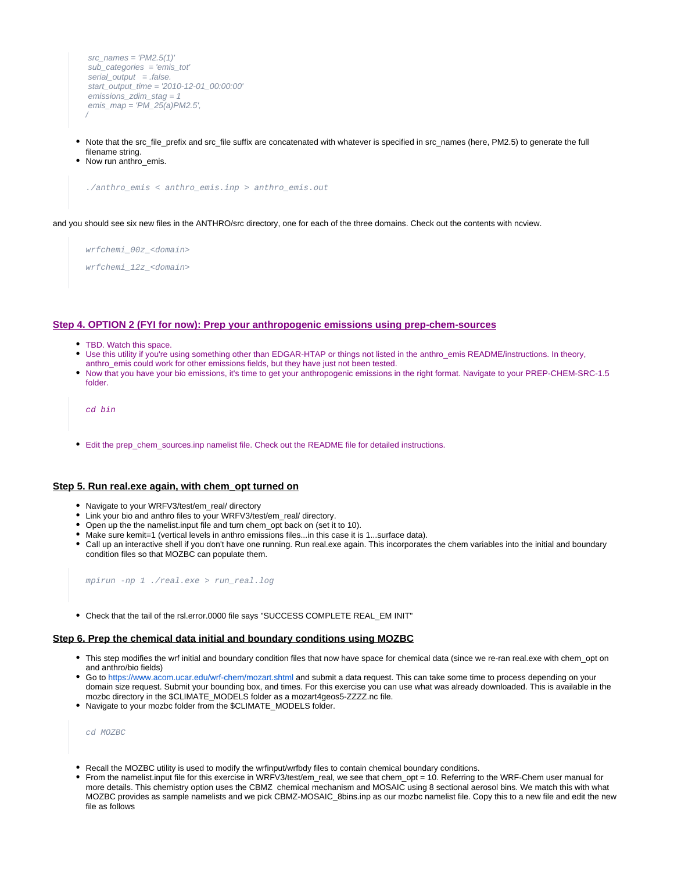```
src_names = 'PM2.5(1)' sub_categories = 'emis_tot'
serial\_output = false.
 start_output_time = '2010-12-01_00:00:00'
 emissions_zdim_stag = 1
emis map = 'PM 25(a)PM2.5',
/
```
- Note that the src\_file\_prefix and src\_file suffix are concatenated with whatever is specified in src\_names (here, PM2.5) to generate the full filename string.
- Now run anthro emis.

./anthro\_emis < anthro\_emis.inp > anthro\_emis.out

and you should see six new files in the ANTHRO/src directory, one for each of the three domains. Check out the contents with ncview.

wrfchemi\_00z\_<domain> wrfchemi\_12z\_<domain>

#### <span id="page-11-0"></span>**Step 4. OPTION 2 (FYI for now): Prep your anthropogenic emissions using prep-chem-sources**

- TBD. Watch this space.
- Use this utility if you're using something other than EDGAR-HTAP or things not listed in the anthro\_emis README/instructions. In theory,
- anthro\_emis could work for other emissions fields, but they have just not been tested.
- Now that you have your bio emissions, it's time to get your anthropogenic emissions in the right format. Navigate to your PREP-CHEM-SRC-1.5 folder.

```
cd bin
```
• Edit the prep\_chem\_sources.inp namelist file. Check out the README file for detailed instructions.

#### <span id="page-11-1"></span>**Step 5. Run real.exe again, with chem\_opt turned on**

- Navigate to your WRFV3/test/em\_real/ directory
- Link your bio and anthro files to your WRFV3/test/em\_real/ directory.
- Open up the the namelist.input file and turn chem\_opt back on (set it to 10).
- Make sure kemit=1 (vertical levels in anthro emissions files...in this case it is 1...surface data).
- Call up an interactive shell if you don't have one running. Run real.exe again. This incorporates the chem variables into the initial and boundary condition files so that MOZBC can populate them.

mpirun -np 1 ./real.exe > run\_real.log

Check that the tail of the rsl.error.0000 file says "SUCCESS COMPLETE REAL\_EM INIT"

#### <span id="page-11-2"></span>**Step 6. Prep the chemical data initial and boundary conditions using MOZBC**

- This step modifies the wrf initial and boundary condition files that now have space for chemical data (since we re-ran real.exe with chem\_opt on and anthro/bio fields)
- Go to<https://www.acom.ucar.edu/wrf-chem/mozart.shtml>and submit a data request. This can take some time to process depending on your domain size request. Submit your bounding box, and times. For this exercise you can use what was already downloaded. This is available in the mozbc directory in the \$CLIMATE\_MODELS folder as a mozart4geos5-ZZZZ.nc file.
- Navigate to your mozbc folder from the \$CLIMATE\_MODELS folder.

cd MOZBC

- Recall the MOZBC utility is used to modify the wrfinput/wrfbdy files to contain chemical boundary conditions.
- From the namelist.input file for this exercise in WRFV3/test/em\_real, we see that chem\_opt = 10. Referring to the WRF-Chem user manual for more details. This chemistry option uses the CBMZ chemical mechanism and MOSAIC using 8 sectional aerosol bins. We match this with what MOZBC provides as sample namelists and we pick CBMZ-MOSAIC\_8bins.inp as our mozbc namelist file. Copy this to a new file and edit the new file as follows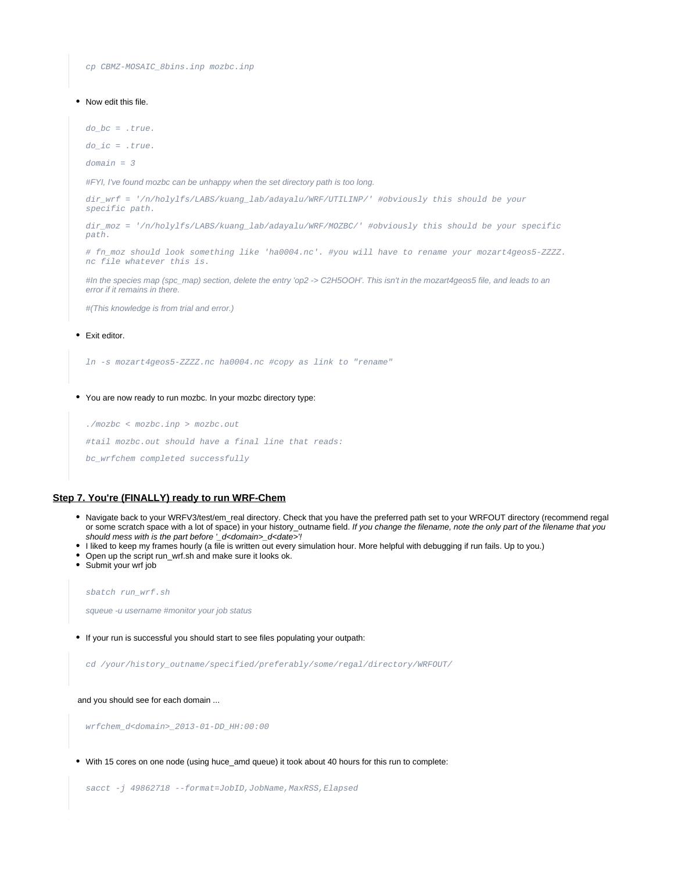cp CBMZ-MOSAIC\_8bins.inp mozbc.inp

#### • Now edit this file.

 $do_bc = .true.$ 

 $do\_ic = .true.$ 

domain = 3

#FYI, I've found mozbc can be unhappy when the set directory path is too long.

dir\_wrf = '/n/holylfs/LABS/kuang\_lab/adayalu/WRF/UTILINP/' #obviously this should be your specific path.

dir\_moz = '/n/holylfs/LABS/kuang\_lab/adayalu/WRF/MOZBC/' #obviously this should be your specific path.

# fn\_moz should look something like 'ha0004.nc'. #you will have to rename your mozart4geos5-ZZZZ. nc file whatever this is.

#In the species map (spc\_map) section, delete the entry 'op2 -> C2H5OOH'. This isn't in the mozart4geos5 file, and leads to an error if it remains in there.

#(This knowledge is from trial and error.)

#### • Exit editor.

ln -s mozart4geos5-ZZZZ.nc ha0004.nc #copy as link to "rename"

#### You are now ready to run mozbc. In your mozbc directory type:

./mozbc < mozbc.inp > mozbc.out #tail mozbc.out should have a final line that reads: bc\_wrfchem completed successfully

#### <span id="page-12-0"></span>**Step 7. You're (FINALLY) ready to run WRF-Chem**

- Navigate back to your WRFV3/test/em real directory. Check that you have the preferred path set to your WRFOUT directory (recommend regal or some scratch space with a lot of space) in your history\_outname field. If you change the filename, note the only part of the filename that you should mess with is the part before '\_d<domain>\_d<date>'!
- I liked to keep my frames hourly (a file is written out every simulation hour. More helpful with debugging if run fails. Up to you.)
- Open up the script run\_wrf.sh and make sure it looks ok.
- Submit your wrf job

sbatch run\_wrf.sh

squeue -u username #monitor your job status

If your run is successful you should start to see files populating your outpath:

cd /your/history\_outname/specified/preferably/some/regal/directory/WRFOUT/

and you should see for each domain ...

wrfchem\_d<domain>\_2013-01-DD\_HH:00:00

With 15 cores on one node (using huce\_amd queue) it took about 40 hours for this run to complete:

sacct -j 49862718 --format=JobID, JobName, MaxRSS, Elapsed